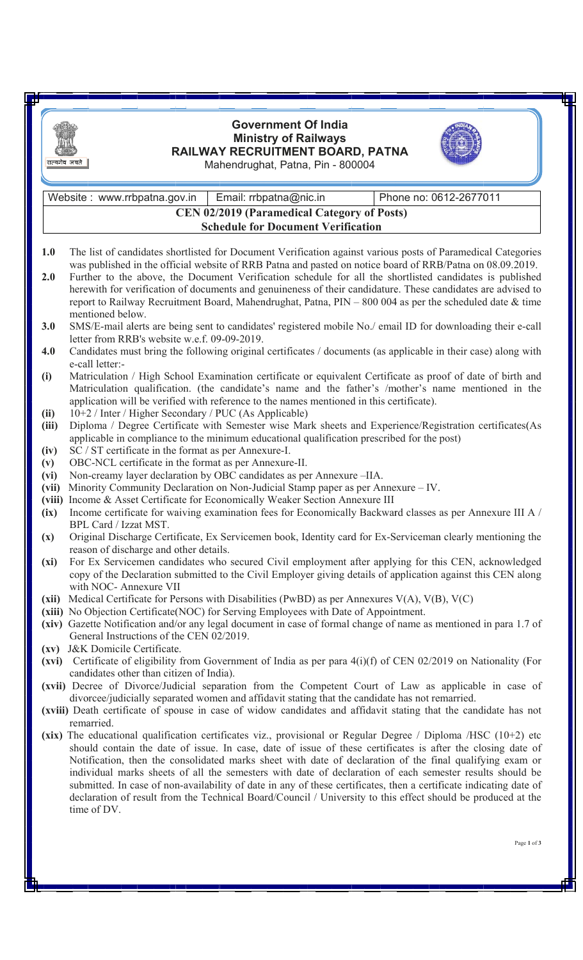| सत्यमेव जयते   | <b>Government Of India</b><br><b>Ministry of Railways</b><br>RAILWAY RECRUITMENT BOARD, PATNA<br>Mahendrughat, Patna, Pin - 800004                                                                                                                                                                                                                                                                                                                                                                                                                                                                                                                                                                         |  |  |  |  |  |
|----------------|------------------------------------------------------------------------------------------------------------------------------------------------------------------------------------------------------------------------------------------------------------------------------------------------------------------------------------------------------------------------------------------------------------------------------------------------------------------------------------------------------------------------------------------------------------------------------------------------------------------------------------------------------------------------------------------------------------|--|--|--|--|--|
|                | Email: rrbpatna@nic.in<br>Phone no: 0612-2677011<br>Website: www.rrbpatna.gov.in                                                                                                                                                                                                                                                                                                                                                                                                                                                                                                                                                                                                                           |  |  |  |  |  |
|                | <b>CEN 02/2019 (Paramedical Category of Posts)</b>                                                                                                                                                                                                                                                                                                                                                                                                                                                                                                                                                                                                                                                         |  |  |  |  |  |
|                | <b>Schedule for Document Verification</b>                                                                                                                                                                                                                                                                                                                                                                                                                                                                                                                                                                                                                                                                  |  |  |  |  |  |
|                |                                                                                                                                                                                                                                                                                                                                                                                                                                                                                                                                                                                                                                                                                                            |  |  |  |  |  |
| 1.0            | The list of candidates shortlisted for Document Verification against various posts of Paramedical Categories                                                                                                                                                                                                                                                                                                                                                                                                                                                                                                                                                                                               |  |  |  |  |  |
| 2.0            | was published in the official website of RRB Patna and pasted on notice board of RRB/Patna on 08.09.2019.<br>Further to the above, the Document Verification schedule for all the shortlisted candidates is published<br>herewith for verification of documents and genuineness of their candidature. These candidates are advised to<br>report to Railway Recruitment Board, Mahendrughat, Patna, PIN - 800 004 as per the scheduled date & time                                                                                                                                                                                                                                                          |  |  |  |  |  |
| 3.0            | mentioned below.<br>SMS/E-mail alerts are being sent to candidates' registered mobile No./ email ID for downloading their e-call                                                                                                                                                                                                                                                                                                                                                                                                                                                                                                                                                                           |  |  |  |  |  |
| 4.0            | letter from RRB's website w.e.f. 09-09-2019.<br>Candidates must bring the following original certificates / documents (as applicable in their case) along with                                                                                                                                                                                                                                                                                                                                                                                                                                                                                                                                             |  |  |  |  |  |
| (i)            | e-call letter:-<br>Matriculation / High School Examination certificate or equivalent Certificate as proof of date of birth and<br>Matriculation qualification. (the candidate's name and the father's /mother's name mentioned in the<br>application will be verified with reference to the names mentioned in this certificate).                                                                                                                                                                                                                                                                                                                                                                          |  |  |  |  |  |
| (ii)           | 10+2 / Inter / Higher Secondary / PUC (As Applicable)                                                                                                                                                                                                                                                                                                                                                                                                                                                                                                                                                                                                                                                      |  |  |  |  |  |
| (iii)          | Diploma / Degree Certificate with Semester wise Mark sheets and Experience/Registration certificates(As                                                                                                                                                                                                                                                                                                                                                                                                                                                                                                                                                                                                    |  |  |  |  |  |
| (iv)           | applicable in compliance to the minimum educational qualification prescribed for the post)<br>SC / ST certificate in the format as per Annexure-I.                                                                                                                                                                                                                                                                                                                                                                                                                                                                                                                                                         |  |  |  |  |  |
| (v)            | OBC-NCL certificate in the format as per Annexure-II.                                                                                                                                                                                                                                                                                                                                                                                                                                                                                                                                                                                                                                                      |  |  |  |  |  |
| (vi)           | Non-creamy layer declaration by OBC candidates as per Annexure -IIA.                                                                                                                                                                                                                                                                                                                                                                                                                                                                                                                                                                                                                                       |  |  |  |  |  |
| (vii)          | Minority Community Declaration on Non-Judicial Stamp paper as per Annexure – IV.                                                                                                                                                                                                                                                                                                                                                                                                                                                                                                                                                                                                                           |  |  |  |  |  |
| (viii)         | Income & Asset Certificate for Economically Weaker Section Annexure III                                                                                                                                                                                                                                                                                                                                                                                                                                                                                                                                                                                                                                    |  |  |  |  |  |
| (ix)           | Income certificate for waiving examination fees for Economically Backward classes as per Annexure III A /                                                                                                                                                                                                                                                                                                                                                                                                                                                                                                                                                                                                  |  |  |  |  |  |
| $(\mathbf{x})$ | BPL Card / Izzat MST.<br>Original Discharge Certificate, Ex Servicemen book, Identity card for Ex-Serviceman clearly mentioning the<br>reason of discharge and other details.                                                                                                                                                                                                                                                                                                                                                                                                                                                                                                                              |  |  |  |  |  |
| (xi)           | For Ex Servicemen candidates who secured Civil employment after applying for this CEN, acknowledged<br>copy of the Declaration submitted to the Civil Employer giving details of application against this CEN along<br>with NOC- Annexure VII                                                                                                                                                                                                                                                                                                                                                                                                                                                              |  |  |  |  |  |
| (xii)          | Medical Certificate for Persons with Disabilities (PwBD) as per Annexures V(A), V(B), V(C)                                                                                                                                                                                                                                                                                                                                                                                                                                                                                                                                                                                                                 |  |  |  |  |  |
|                | (xiii) No Objection Certificate(NOC) for Serving Employees with Date of Appointment.<br>(xiv) Gazette Notification and/or any legal document in case of formal change of name as mentioned in para 1.7 of<br>General Instructions of the CEN 02/2019.                                                                                                                                                                                                                                                                                                                                                                                                                                                      |  |  |  |  |  |
|                | (xv) J&K Domicile Certificate.<br>(xvi) Certificate of eligibility from Government of India as per para $4(i)(f)$ of CEN 02/2019 on Nationality (For                                                                                                                                                                                                                                                                                                                                                                                                                                                                                                                                                       |  |  |  |  |  |
|                | candidates other than citizen of India).<br>(xvii) Decree of Divorce/Judicial separation from the Competent Court of Law as applicable in case of<br>divorcee/judicially separated women and affidavit stating that the candidate has not remarried.                                                                                                                                                                                                                                                                                                                                                                                                                                                       |  |  |  |  |  |
|                | (xviii) Death certificate of spouse in case of widow candidates and affidavit stating that the candidate has not<br>remarried.                                                                                                                                                                                                                                                                                                                                                                                                                                                                                                                                                                             |  |  |  |  |  |
|                | (xix) The educational qualification certificates viz., provisional or Regular Degree / Diploma /HSC (10+2) etc<br>should contain the date of issue. In case, date of issue of these certificates is after the closing date of<br>Notification, then the consolidated marks sheet with date of declaration of the final qualifying exam or<br>individual marks sheets of all the semesters with date of declaration of each semester results should be<br>submitted. In case of non-availability of date in any of these certificates, then a certificate indicating date of<br>declaration of result from the Technical Board/Council / University to this effect should be produced at the<br>time of DV. |  |  |  |  |  |
|                | Page 1 of 3                                                                                                                                                                                                                                                                                                                                                                                                                                                                                                                                                                                                                                                                                                |  |  |  |  |  |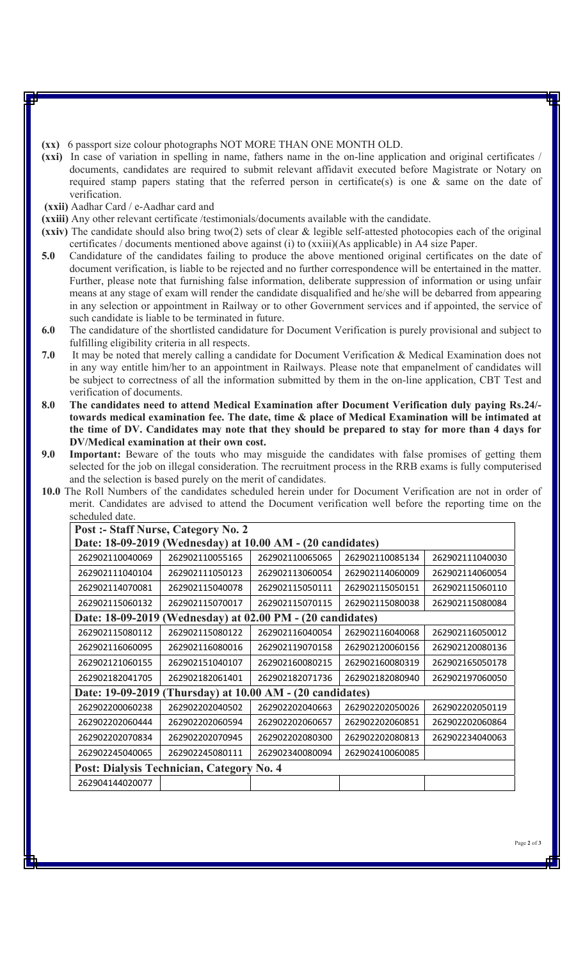**(xx)** 6 passport size colour photographs NOT MORE THAN ONE MONTH OLD.

**(xxi)** In case of variation in spelling in name, fathers name in the on-line application and original certificates / documents, candidates are required to submit relevant affidavit executed before Magistrate or Notary on required stamp papers stating that the referred person in certificate(s) is one & same on the date of verification.

**(xxii)** Aadhar Card / e-Aadhar card and

**(xxiii)** Any other relevant certificate /testimonials/documents available with the candidate.

- **(xxiv)** The candidate should also bring two(2) sets of clear & legible self-attested photocopies each of the original certificates / documents mentioned above against (i) to (xxiii)(As applicable) in A4 size Paper.
- **5.0** Candidature of the candidates failing to produce the above mentioned original certificates on the date of document verification, is liable to be rejected and no further correspondence will be entertained in the matter. Further, please note that furnishing false information, deliberate suppression of information or using unfair means at any stage of exam will render the candidate disqualified and he/she will be debarred from appearing in any selection or appointment in Railway or to other Government services and if appointed, the service of such candidate is liable to be terminated in future.
- **6.0** The candidature of the shortlisted candidature for Document Verification is purely provisional and subject to fulfilling eligibility criteria in all respects.
- **7.0** It may be noted that merely calling a candidate for Document Verification & Medical Examination does not in any way entitle him/her to an appointment in Railways. Please note that empanelment of candidates will be subject to correctness of all the information submitted by them in the on-line application, CBT Test and verification of documents.
- **8.0 The candidates need to attend Medical Examination after Document Verification duly paying Rs.24/ towards medical examination fee. The date, time & place of Medical Examination will be intimated at the time of DV. Candidates may note that they should be prepared to stay for more than 4 days for DV/Medical examination at their own cost.**
- **9.0 Important:** Beware of the touts who may misguide the candidates with false promises of getting them selected for the job on illegal consideration. The recruitment process in the RRB exams is fully computerised and the selection is based purely on the merit of candidates.
- **10.0** The Roll Numbers of the candidates scheduled herein under for Document Verification are not in order of merit. Candidates are advised to attend the Document verification well before the reporting time on the scheduled date.

| Post :- Staff Nurse, Category No. 2                           |                 |                 |                 |                 |  |  |  |  |  |
|---------------------------------------------------------------|-----------------|-----------------|-----------------|-----------------|--|--|--|--|--|
| Date: 18-09-2019 (Wednesday) at 10.00 AM - (20 candidates)    |                 |                 |                 |                 |  |  |  |  |  |
| 262902110040069                                               | 262902110055165 | 262902110065065 | 262902110085134 | 262902111040030 |  |  |  |  |  |
| 262902111040104                                               | 262902111050123 | 262902113060054 | 262902114060009 | 262902114060054 |  |  |  |  |  |
| 262902114070081                                               | 262902115040078 | 262902115050111 | 262902115050151 | 262902115060110 |  |  |  |  |  |
| 262902115060132                                               | 262902115070017 | 262902115070115 | 262902115080038 | 262902115080084 |  |  |  |  |  |
| Date: 18-09-2019<br>(Wednesday) at 02.00 PM - (20 candidates) |                 |                 |                 |                 |  |  |  |  |  |
| 262902115080112                                               | 262902115080122 | 262902116040054 | 262902116040068 | 262902116050012 |  |  |  |  |  |
| 262902116060095                                               | 262902116080016 | 262902119070158 | 262902120060156 | 262902120080136 |  |  |  |  |  |
| 262902121060155                                               | 262902151040107 | 262902160080215 | 262902160080319 | 262902165050178 |  |  |  |  |  |
| 262902182041705                                               | 262902182061401 | 262902182071736 | 262902182080940 | 262902197060050 |  |  |  |  |  |
| Date: 19-09-2019<br>(Thursday) at 10.00 AM - (20 candidates)  |                 |                 |                 |                 |  |  |  |  |  |
| 262902200060238                                               | 262902202040502 | 262902202040663 | 262902202050026 | 262902202050119 |  |  |  |  |  |
| 262902202060444                                               | 262902202060594 | 262902202060657 | 262902202060851 | 262902202060864 |  |  |  |  |  |
| 262902202070834                                               | 262902202070945 | 262902202080300 | 262902202080813 | 262902234040063 |  |  |  |  |  |
| 262902245040065                                               | 262902245080111 | 262902340080094 | 262902410060085 |                 |  |  |  |  |  |
| Post: Dialysis Technician, Category No. 4                     |                 |                 |                 |                 |  |  |  |  |  |
| 262904144020077                                               |                 |                 |                 |                 |  |  |  |  |  |